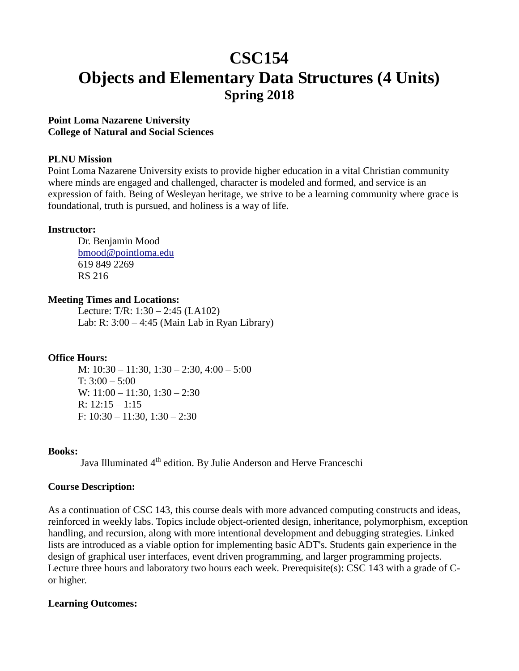# **CSC154 Objects and Elementary Data Structures (4 Units) Spring 2018**

#### **Point Loma Nazarene University College of Natural and Social Sciences**

#### **PLNU Mission**

Point Loma Nazarene University exists to provide higher education in a vital Christian community where minds are engaged and challenged, character is modeled and formed, and service is an expression of faith. Being of Wesleyan heritage, we strive to be a learning community where grace is foundational, truth is pursued, and holiness is a way of life.

#### **Instructor:**

Dr. Benjamin Mood [bmood@pointloma.edu](mailto:bmood@pointloma.edu) 619 849 2269 RS 216

#### **Meeting Times and Locations:**

Lecture: T/R: 1:30 – 2:45 (LA102) Lab: R: 3:00 – 4:45 (Main Lab in Ryan Library)

#### **Office Hours:**

M: 10:30 – 11:30, 1:30 – 2:30, 4:00 – 5:00 T:  $3:00 - 5:00$ W: 11:00 – 11:30, 1:30 – 2:30 R:  $12:15 - 1:15$ F:  $10:30 - 11:30$ ,  $1:30 - 2:30$ 

#### **Books:**

Java Illuminated 4<sup>th</sup> edition. By Julie Anderson and Herve Franceschi

#### **Course Description:**

As a continuation of CSC 143, this course deals with more advanced computing constructs and ideas, reinforced in weekly labs. Topics include object-oriented design, inheritance, polymorphism, exception handling, and recursion, along with more intentional development and debugging strategies. Linked lists are introduced as a viable option for implementing basic ADT's. Students gain experience in the design of graphical user interfaces, event driven programming, and larger programming projects. Lecture three hours and laboratory two hours each week. Prerequisite(s): CSC 143 with a grade of Cor higher.

#### **Learning Outcomes:**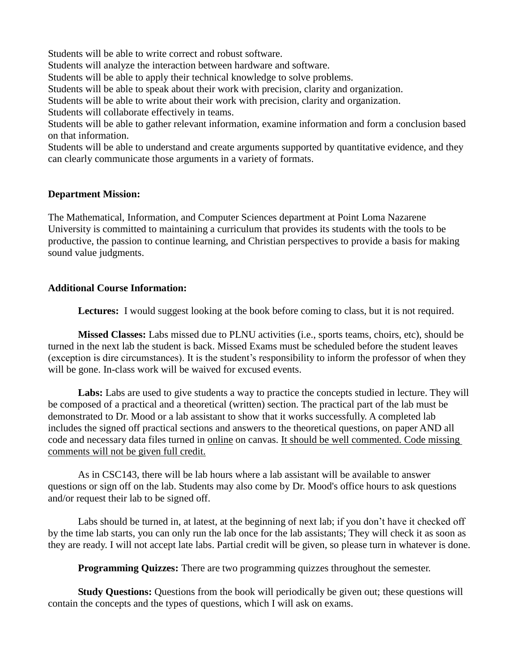Students will be able to write correct and robust software. Students will analyze the interaction between hardware and software. Students will be able to apply their technical knowledge to solve problems. Students will be able to speak about their work with precision, clarity and organization. Students will be able to write about their work with precision, clarity and organization. Students will collaborate effectively in teams. Students will be able to gather relevant information, examine information and form a conclusion based on that information.

Students will be able to understand and create arguments supported by quantitative evidence, and they can clearly communicate those arguments in a variety of formats.

#### **Department Mission:**

The Mathematical, Information, and Computer Sciences department at Point Loma Nazarene University is committed to maintaining a curriculum that provides its students with the tools to be productive, the passion to continue learning, and Christian perspectives to provide a basis for making sound value judgments.

#### **Additional Course Information:**

Lectures: I would suggest looking at the book before coming to class, but it is not required.

**Missed Classes:** Labs missed due to PLNU activities (i.e., sports teams, choirs, etc), should be turned in the next lab the student is back. Missed Exams must be scheduled before the student leaves (exception is dire circumstances). It is the student's responsibility to inform the professor of when they will be gone. In-class work will be waived for excused events.

**Labs:** Labs are used to give students a way to practice the concepts studied in lecture. They will be composed of a practical and a theoretical (written) section. The practical part of the lab must be demonstrated to Dr. Mood or a lab assistant to show that it works successfully. A completed lab includes the signed off practical sections and answers to the theoretical questions, on paper AND all code and necessary data files turned in online on canvas. It should be well commented. Code missing comments will not be given full credit.

As in CSC143, there will be lab hours where a lab assistant will be available to answer questions or sign off on the lab. Students may also come by Dr. Mood's office hours to ask questions and/or request their lab to be signed off.

Labs should be turned in, at latest, at the beginning of next lab; if you don't have it checked off by the time lab starts, you can only run the lab once for the lab assistants; They will check it as soon as they are ready. I will not accept late labs. Partial credit will be given, so please turn in whatever is done.

**Programming Quizzes:** There are two programming quizzes throughout the semester.

**Study Questions:** Questions from the book will periodically be given out; these questions will contain the concepts and the types of questions, which I will ask on exams.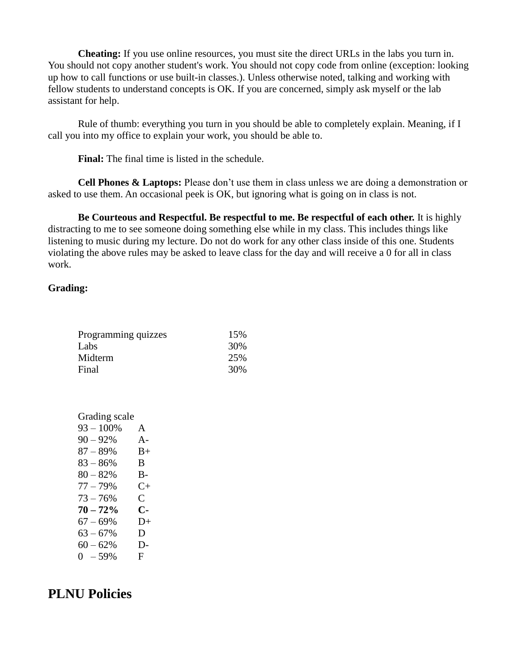**Cheating:** If you use online resources, you must site the direct URLs in the labs you turn in. You should not copy another student's work. You should not copy code from online (exception: looking up how to call functions or use built-in classes.). Unless otherwise noted, talking and working with fellow students to understand concepts is OK. If you are concerned, simply ask myself or the lab assistant for help.

Rule of thumb: everything you turn in you should be able to completely explain. Meaning, if I call you into my office to explain your work, you should be able to.

**Final:** The final time is listed in the schedule.

**Cell Phones & Laptops:** Please don't use them in class unless we are doing a demonstration or asked to use them. An occasional peek is OK, but ignoring what is going on in class is not.

**Be Courteous and Respectful. Be respectful to me. Be respectful of each other.** It is highly distracting to me to see someone doing something else while in my class. This includes things like listening to music during my lecture. Do not do work for any other class inside of this one. Students violating the above rules may be asked to leave class for the day and will receive a 0 for all in class work.

#### **Grading:**

| Programming quizzes | 15% |
|---------------------|-----|
| Labs                | 30% |
| Midterm             | 25% |
| Final               | 30% |

| Grading scale |              |
|---------------|--------------|
| $93 - 100\%$  | A            |
| $90 - 92%$    | $A -$        |
| $87 - 89%$    | $B+$         |
| $83 - 86%$    | B.           |
| $80 - 82%$    | B-           |
| $77 - 79%$    | $C+$         |
| $73 - 76%$    | $\mathsf{C}$ |
| $70 - 72%$    | С-           |
| $67 - 69%$    | D+           |
| $63 - 67%$    | D            |
| $60 - 62%$    | $D-$         |
| $0 - 59%$     | F.           |

## **PLNU Policies**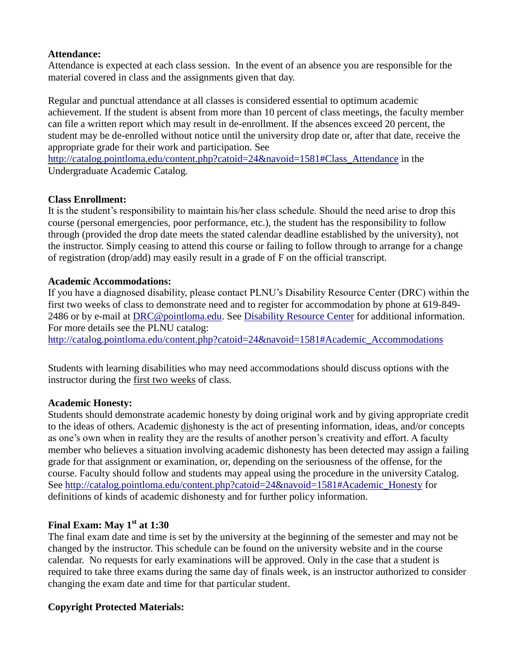## **Attendance:**

Attendance is expected at each class session. In the event of an absence you are responsible for the material covered in class and the assignments given that day.

Regular and punctual attendance at all classes is considered essential to optimum academic achievement. If the student is absent from more than 10 percent of class meetings, the faculty member can file a written report which may result in de-enrollment. If the absences exceed 20 percent, the student may be de-enrolled without notice until the university drop date or, after that date, receive the appropriate grade for their work and participation. See

[http://catalog.pointloma.edu/content.php?catoid=24&navoid=1581#Class\\_Attendance](http://catalog.pointloma.edu/content.php?catoid=24&navoid=1581#Class_Attendance) in the Undergraduate Academic Catalog.

## **Class Enrollment:**

It is the student's responsibility to maintain his/her class schedule. Should the need arise to drop this course (personal emergencies, poor performance, etc.), the student has the responsibility to follow through (provided the drop date meets the stated calendar deadline established by the university), not the instructor. Simply ceasing to attend this course or failing to follow through to arrange for a change of registration (drop/add) may easily result in a grade of F on the official transcript.

## **Academic Accommodations:**

If you have a diagnosed disability, please contact PLNU's Disability Resource Center (DRC) within the first two weeks of class to demonstrate need and to register for accommodation by phone at 619-849- 2486 or by e-mail at [DRC@pointloma.edu.](mailto:DRC@pointloma.edu) See [Disability Resource Center](http://www.pointloma.edu/experience/offices/administrative-offices/academic-advising-office/disability-resource-center) for additional information. For more details see the PLNU catalog:

[http://catalog.pointloma.edu/content.php?catoid=24&navoid=1581#Academic\\_Accommodations](http://catalog.pointloma.edu/content.php?catoid=24&navoid=1581#Academic_Accommodations) 

Students with learning disabilities who may need accommodations should discuss options with the instructor during the first two weeks of class.

## **Academic Honesty:**

Students should demonstrate academic honesty by doing original work and by giving appropriate credit to the ideas of others. Academic dishonesty is the act of presenting information, ideas, and/or concepts as one's own when in reality they are the results of another person's creativity and effort. A faculty member who believes a situation involving academic dishonesty has been detected may assign a failing grade for that assignment or examination, or, depending on the seriousness of the offense, for the course. Faculty should follow and students may appeal using the procedure in the university Catalog. See [http://catalog.pointloma.edu/content.php?catoid=24&navoid=1581#Academic\\_Honesty](http://catalog.pointloma.edu/content.php?catoid=24&navoid=1581#Academic_Honesty) for definitions of kinds of academic dishonesty and for further policy information.

## **Final Exam: May 1 st at 1:30**

The final exam date and time is set by the university at the beginning of the semester and may not be changed by the instructor. This schedule can be found on the university website and in the course calendar. No requests for early examinations will be approved. Only in the case that a student is required to take three exams during the same day of finals week, is an instructor authorized to consider changing the exam date and time for that particular student.

## **Copyright Protected Materials:**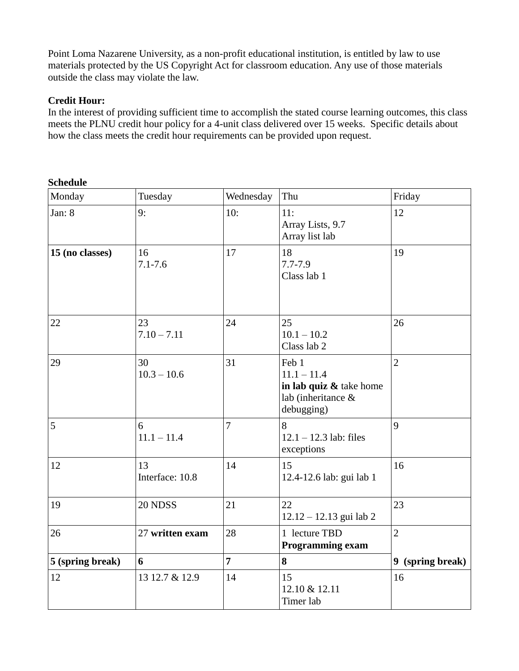Point Loma Nazarene University, as a non-profit educational institution, is entitled by law to use materials protected by the US Copyright Act for classroom education. Any use of those materials outside the class may violate the law.

## **Credit Hour:**

In the interest of providing sufficient time to accomplish the stated course learning outcomes, this class meets the PLNU credit hour policy for a 4-unit class delivered over 15 weeks. Specific details about how the class meets the credit hour requirements can be provided upon request.

| Monday           | Tuesday               | Wednesday      | Thu                                                                                   | Friday           |
|------------------|-----------------------|----------------|---------------------------------------------------------------------------------------|------------------|
| Jan: 8           | 9:                    | 10:            | 11:<br>Array Lists, 9.7<br>Array list lab                                             | 12               |
| 15 (no classes)  | 16<br>$7.1 - 7.6$     | 17             | 18<br>$7.7 - 7.9$<br>Class lab 1                                                      | 19               |
| 22               | 23<br>$7.10 - 7.11$   | 24             | 25<br>$10.1 - 10.2$<br>Class lab 2                                                    | 26               |
| 29               | 30<br>$10.3 - 10.6$   | 31             | Feb 1<br>$11.1 - 11.4$<br>in lab quiz & take home<br>lab (inheritance &<br>debugging) | $\overline{2}$   |
| 5                | 6<br>$11.1 - 11.4$    | $\overline{7}$ | 8<br>$12.1 - 12.3$ lab: files<br>exceptions                                           | 9                |
| 12               | 13<br>Interface: 10.8 | 14             | 15<br>12.4-12.6 lab: gui lab 1                                                        | 16               |
| 19               | 20 NDSS               | 21             | 22<br>$12.12 - 12.13$ gui lab 2                                                       | 23               |
| 26               | 27 written exam       | 28             | 1 lecture TBD<br><b>Programming exam</b>                                              | $\overline{2}$   |
| 5 (spring break) | 6                     | $\overline{7}$ | 8                                                                                     | 9 (spring break) |
| 12               | 13 12.7 & 12.9        | 14             | 15<br>12.10 & 12.11<br>Timer lab                                                      | 16               |

#### **Schedule**